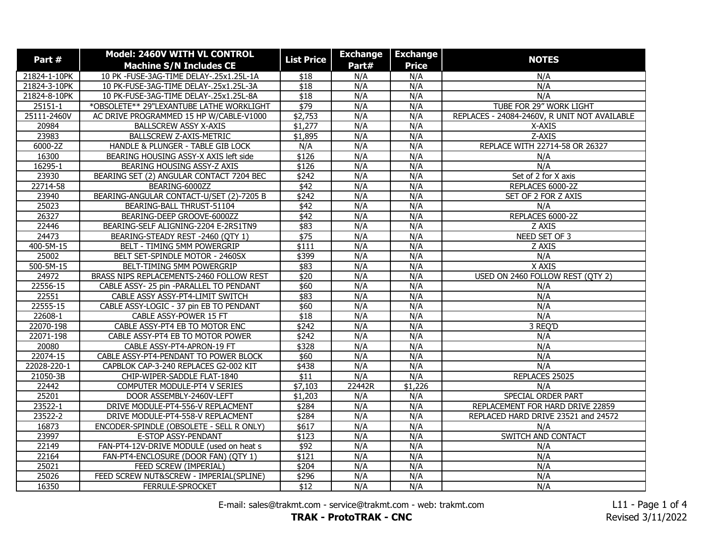| Part#        | <b>Model: 2460V WITH VL CONTROL</b>      | <b>List Price</b> | <b>Exchange</b> | <b>Exchange</b> |                                              |
|--------------|------------------------------------------|-------------------|-----------------|-----------------|----------------------------------------------|
|              | <b>Machine S/N Includes CE</b>           |                   | Part#           | <b>Price</b>    | <b>NOTES</b>                                 |
| 21824-1-10PK | 10 PK -FUSE-3AG-TIME DELAY-.25x1.25L-1A  | \$18              | N/A             | N/A             | N/A                                          |
| 21824-3-10PK | 10 PK-FUSE-3AG-TIME DELAY-.25x1.25L-3A   | \$18              | N/A             | N/A             | N/A                                          |
| 21824-8-10PK | 10 PK-FUSE-3AG-TIME DELAY-.25x1.25L-8A   | \$18              | N/A             | N/A             | N/A                                          |
| 25151-1      | *OBSOLETE** 29"LEXANTUBE LATHE WORKLIGHT | \$79              | N/A             | N/A             | TUBE FOR 29" WORK LIGHT                      |
| 25111-2460V  | AC DRIVE PROGRAMMED 15 HP W/CABLE-V1000  | \$2,753           | N/A             | N/A             | REPLACES - 24084-2460V, R UNIT NOT AVAILABLE |
| 20984        | <b>BALLSCREW ASSY X-AXIS</b>             | \$1,277           | N/A             | N/A             | X-AXIS                                       |
| 23983        | <b>BALLSCREW Z-AXIS-METRIC</b>           | \$1,895           | N/A             | N/A             | Z-AXIS                                       |
| 6000-2Z      | HANDLE & PLUNGER - TABLE GIB LOCK        | N/A               | N/A             | N/A             | REPLACE WITH 22714-58 OR 26327               |
| 16300        | BEARING HOUSING ASSY-X AXIS left side    | \$126             | N/A             | N/A             | N/A                                          |
| 16295-1      | BEARING HOUSING ASSY-Z AXIS              | \$126             | N/A             | N/A             | N/A                                          |
| 23930        | BEARING SET (2) ANGULAR CONTACT 7204 BEC | \$242             | N/A             | N/A             | Set of 2 for X axis                          |
| 22714-58     | BEARING-6000ZZ                           | \$42              | N/A             | N/A             | REPLACES 6000-2Z                             |
| 23940        | BEARING-ANGULAR CONTACT-U/SET (2)-7205 B | $\sqrt{$242}$     | N/A             | N/A             | SET OF 2 FOR Z AXIS                          |
| 25023        | BEARING-BALL THRUST-51104                | $\sqrt{$42}$      | N/A             | N/A             | N/A                                          |
| 26327        | BEARING-DEEP GROOVE-6000ZZ               | \$42              | N/A             | N/A             | REPLACES 6000-2Z                             |
| 22446        | BEARING-SELF ALIGNING-2204 E-2RS1TN9     | \$83              | N/A             | N/A             | Z AXIS                                       |
| 24473        | BEARING-STEADY REST -2460 (QTY 1)        | \$75              | N/A             | N/A             | NEED SET OF 3                                |
| 400-5M-15    | BELT - TIMING 5MM POWERGRIP              | \$111             | N/A             | N/A             | Z AXIS                                       |
| 25002        | BELT SET-SPINDLE MOTOR - 2460SX          | \$399             | N/A             | N/A             | N/A                                          |
| 500-5M-15    | BELT-TIMING 5MM POWERGRIP                | \$83              | N/A             | N/A             | X AXIS                                       |
| 24972        | BRASS NIPS REPLACEMENTS-2460 FOLLOW REST | $\overline{$}20$  | N/A             | N/A             | USED ON 2460 FOLLOW REST (QTY 2)             |
| 22556-15     | CABLE ASSY- 25 pin -PARALLEL TO PENDANT  | \$60              | N/A             | N/A             | N/A                                          |
| 22551        | CABLE ASSY ASSY-PT4-LIMIT SWITCH         | \$83              | N/A             | N/A             | N/A                                          |
| 22555-15     | CABLE ASSY-LOGIC - 37 pin EB TO PENDANT  | \$60              | N/A             | N/A             | N/A                                          |
| 22608-1      | CABLE ASSY-POWER 15 FT                   | $\overline{$18}$  | N/A             | N/A             | N/A                                          |
| 22070-198    | CABLE ASSY-PT4 EB TO MOTOR ENC           | $\sqrt{$242}$     | N/A             | N/A             | 3 REQ'D                                      |
| 22071-198    | CABLE ASSY-PT4 EB TO MOTOR POWER         | $\sqrt{$242}$     | N/A             | N/A             | N/A                                          |
| 20080        | CABLE ASSY-PT4-APRON-19 FT               | \$328             | N/A             | N/A             | N/A                                          |
| 22074-15     | CABLE ASSY-PT4-PENDANT TO POWER BLOCK    | \$60              | N/A             | N/A             | N/A                                          |
| 22028-220-1  | CAPBLOK CAP-3-240 REPLACES G2-002 KIT    | \$438             | N/A             | N/A             | N/A                                          |
| 21050-3B     | CHIP-WIPER-SADDLE FLAT-1840              | $\overline{$11}$  | N/A             | N/A             | REPLACES 25025                               |
| 22442        | COMPUTER MODULE-PT4 V SERIES             | \$7,103           | 22442R          | \$1,226         | N/A                                          |
| 25201        | DOOR ASSEMBLY-2460V-LEFT                 | \$1,203           | N/A             | N/A             | SPECIAL ORDER PART                           |
| 23522-1      | DRIVE MODULE-PT4-556-V REPLACMENT        | \$284             | N/A             | N/A             | REPLACEMENT FOR HARD DRIVE 22859             |
| 23522-2      | DRIVE MODULE-PT4-558-V REPLACMENT        | \$284             | N/A             | N/A             | REPLACED HARD DRIVE 23521 and 24572          |
| 16873        | ENCODER-SPINDLE (OBSOLETE - SELL R ONLY) | \$617             | N/A             | N/A             | N/A                                          |
| 23997        | E-STOP ASSY-PENDANT                      | \$123             | N/A             | N/A             | SWITCH AND CONTACT                           |
| 22149        | FAN-PT4-12V-DRIVE MODULE (used on heat s | \$92              | N/A             | N/A             | N/A                                          |
| 22164        | FAN-PT4-ENCLOSURE (DOOR FAN) (QTY 1)     | \$121             | N/A             | N/A             | N/A                                          |
| 25021        | FEED SCREW (IMPERIAL)                    | \$204             | N/A             | N/A             | N/A                                          |
| 25026        | FEED SCREW NUT&SCREW - IMPERIAL(SPLINE)  | \$296             | N/A             | N/A             | N/A                                          |
| 16350        | FERRULE-SPROCKET                         | \$12              | N/A             | N/A             | N/A                                          |

E-mail: sales@trakmt.com - service@trakmt.com - web: trakmt.com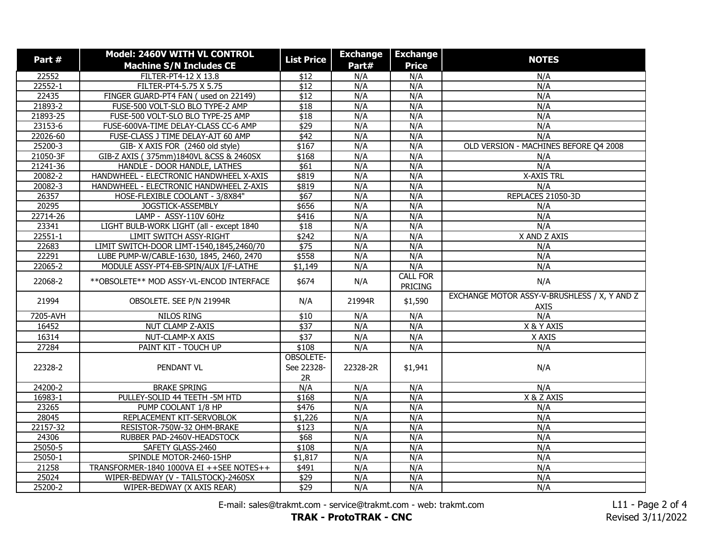| Part#                  | Model: 2460V WITH VL CONTROL               | <b>List Price</b> | <b>Exchange</b> | <b>Exchange</b> | <b>NOTES</b>                                 |
|------------------------|--------------------------------------------|-------------------|-----------------|-----------------|----------------------------------------------|
|                        | <b>Machine S/N Includes CE</b>             |                   | Part#           | <b>Price</b>    |                                              |
| 22552                  | FILTER-PT4-12 X 13.8                       | \$12              | N/A             | N/A             | N/A                                          |
| 22552-1                | FILTER-PT4-5.75 X 5.75                     | $\overline{$12}$  | N/A             | N/A             | N/A                                          |
| 22435                  | FINGER GUARD-PT4 FAN (used on 22149)       | $\overline{$12}$  | N/A             | N/A             | N/A                                          |
| 21893-2                | FUSE-500 VOLT-SLO BLO TYPE-2 AMP           | \$18              | N/A             | N/A             | N/A                                          |
| 21893-25               | FUSE-500 VOLT-SLO BLO TYPE-25 AMP          | \$18              | N/A             | N/A             | N/A                                          |
| 23153-6                | FUSE-600VA-TIME DELAY-CLASS CC-6 AMP       | \$29              | N/A             | N/A             | N/A                                          |
| 22026-60               | FUSE-CLASS J TIME DELAY-AJT 60 AMP         | \$42              | N/A             | N/A             | N/A                                          |
| 25200-3                | GIB-X AXIS FOR (2460 old style)            | \$167             | N/A             | N/A             | OLD VERSION - MACHINES BEFORE Q4 2008        |
| 21050-3F               | GIB-Z AXIS (375mm)1840VL &CSS & 2460SX     | \$168             | N/A             | N/A             | N/A                                          |
| 21241-36               | HANDLE - DOOR HANDLE, LATHES               | \$61              | N/A             | N/A             | N/A                                          |
| 20082-2                | HANDWHEEL - ELECTRONIC HANDWHEEL X-AXIS    | \$819             | N/A             | N/A             | <b>X-AXIS TRL</b>                            |
| $\overline{20082} - 3$ | HANDWHEEL - ELECTRONIC HANDWHEEL Z-AXIS    | \$819             | N/A             | N/A             | N/A                                          |
| 26357                  | HOSE-FLEXIBLE COOLANT - 3/8X84"            | $\sqrt{$67}$      | N/A             | N/A             | REPLACES 21050-3D                            |
| 20295                  | JOGSTICK-ASSEMBLY                          | \$656             | N/A             | N/A             | N/A                                          |
| 22714-26               | LAMP - ASSY-110V 60Hz                      | \$416             | N/A             | N/A             | N/A                                          |
| 23341                  | LIGHT BULB-WORK LIGHT (all - except 1840   | $\overline{$18}$  | N/A             | N/A             | N/A                                          |
| $22551 - 1$            | <b>LIMIT SWITCH ASSY-RIGHT</b>             | \$242             | N/A             | N/A             | X AND Z AXIS                                 |
| 22683                  | LIMIT SWITCH-DOOR LIMT-1540,1845,2460/70   | \$75              | N/A             | N/A             | N/A                                          |
| 22291                  | LUBE PUMP-W/CABLE-1630, 1845, 2460, 2470   | \$558             | N/A             | N/A             | N/A                                          |
| 22065-2                | MODULE ASSY-PT4-EB-SPIN/AUX I/F-LATHE      | \$1,149           | N/A             | N/A             | N/A                                          |
| 22068-2                | ** OBSOLETE ** MOD ASSY-VL-ENCOD INTERFACE | \$674             | N/A             | <b>CALL FOR</b> | N/A                                          |
|                        |                                            |                   |                 | <b>PRICING</b>  |                                              |
| 21994                  | OBSOLETE. SEE P/N 21994R                   | N/A               | 21994R          | \$1,590         | EXCHANGE MOTOR ASSY-V-BRUSHLESS / X, Y AND Z |
|                        |                                            |                   |                 |                 | <b>AXIS</b>                                  |
| 7205-AVH               | NILOS RING                                 | \$10              | N/A             | N/A             | N/A                                          |
| 16452                  | <b>NUT CLAMP Z-AXIS</b>                    | $\sqrt{$37}$      | N/A             | N/A             | X & Y AXIS                                   |
| 16314                  | NUT-CLAMP-X AXIS                           | \$37              | N/A             | N/A             | X AXIS                                       |
| 27284                  | PAINT KIT - TOUCH UP                       | \$108             | N/A             | N/A             | N/A                                          |
|                        |                                            | OBSOLETE-         |                 |                 |                                              |
| 22328-2                | PENDANT VL                                 | See 22328-        | 22328-2R        | \$1,941         | N/A                                          |
|                        |                                            | 2R                |                 |                 |                                              |
| 24200-2                | <b>BRAKE SPRING</b>                        | N/A               | N/A             | N/A             | N/A                                          |
| 16983-1                | PULLEY-SOLID 44 TEETH - 5M HTD             | \$168             | N/A             | N/A             | X & Z AXIS                                   |
| 23265                  | PUMP COOLANT 1/8 HP                        | \$476             | N/A             | N/A             | N/A                                          |
| 28045                  | REPLACEMENT KIT-SERVOBLOK                  | \$1,226           | N/A             | N/A             | N/A                                          |
| 22157-32               | RESISTOR-750W-32 OHM-BRAKE                 | \$123             | N/A             | N/A             | N/A                                          |
| 24306                  | RUBBER PAD-2460V-HEADSTOCK                 | \$68              | N/A             | N/A             | N/A                                          |
| 25050-5                | SAFETY GLASS-2460                          | \$108             | N/A             | N/A             | N/A                                          |
| 25050-1                | SPINDLE MOTOR-2460-15HP                    | \$1,817           | N/A             | N/A             | N/A                                          |
| 21258                  | TRANSFORMER-1840 1000VA EI ++SEE NOTES++   | $\sqrt{$491}$     | N/A             | N/A             | N/A                                          |
| 25024                  | WIPER-BEDWAY (V - TAILSTOCK)-2460SX        | \$29              | N/A             | N/A             | N/A                                          |
| 25200-2                | WIPER-BEDWAY (X AXIS REAR)                 | \$29              | N/A             | N/A             | N/A                                          |

E-mail: sales@trakmt.com - service@trakmt.com - web: trakmt.com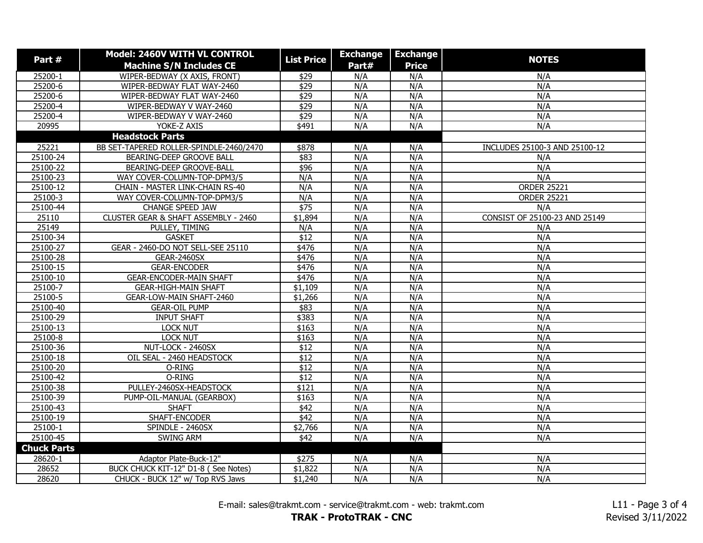| Part #             | Model: 2460V WITH VL CONTROL            | <b>List Price</b> | <b>Exchange</b> | <b>Exchange</b> | <b>NOTES</b>                  |
|--------------------|-----------------------------------------|-------------------|-----------------|-----------------|-------------------------------|
|                    | <b>Machine S/N Includes CE</b>          |                   | Part#           | <b>Price</b>    |                               |
| 25200-1            | WIPER-BEDWAY (X AXIS, FRONT)            | \$29              | N/A             | N/A             | N/A                           |
| 25200-6            | WIPER-BEDWAY FLAT WAY-2460              | \$29              | N/A             | N/A             | N/A                           |
| 25200-6            | WIPER-BEDWAY FLAT WAY-2460              | \$29              | N/A             | N/A             | N/A                           |
| 25200-4            | WIPER-BEDWAY V WAY-2460                 | $\sqrt{$29}$      | N/A             | N/A             | N/A                           |
| 25200-4            | WIPER-BEDWAY V WAY-2460                 | $\sqrt{$29}$      | N/A             | N/A             | N/A                           |
| 20995              | YOKE-Z AXIS                             | \$491             | N/A             | N/A             | N/A                           |
|                    | <b>Headstock Parts</b>                  |                   |                 |                 |                               |
| 25221              | BB SET-TAPERED ROLLER-SPINDLE-2460/2470 | \$878             | N/A             | N/A             | INCLUDES 25100-3 AND 25100-12 |
| 25100-24           | BEARING-DEEP GROOVE BALL                | \$83              | N/A             | N/A             | N/A                           |
| 25100-22           | BEARING-DEEP GROOVE-BALL                | $\frac{1}{2}96$   | N/A             | N/A             | N/A                           |
| 25100-23           | WAY COVER-COLUMN-TOP-DPM3/5             | N/A               | N/A             | N/A             | N/A                           |
| 25100-12           | <b>CHAIN - MASTER LINK-CHAIN RS-40</b>  | N/A               | N/A             | N/A             | <b>ORDER 25221</b>            |
| 25100-3            | WAY COVER-COLUMN-TOP-DPM3/5             | N/A               | N/A             | N/A             | <b>ORDER 25221</b>            |
| 25100-44           | CHANGE SPEED JAW                        | $\sqrt{$75}$      | N/A             | N/A             | N/A                           |
| 25110              | CLUSTER GEAR & SHAFT ASSEMBLY - 2460    | \$1,894           | N/A             | N/A             | CONSIST OF 25100-23 AND 25149 |
| 25149              | PULLEY, TIMING                          | N/A               | N/A             | N/A             | N/A                           |
| 25100-34           | <b>GASKET</b>                           | $\overline{$12}$  | N/A             | N/A             | N/A                           |
| 25100-27           | GEAR - 2460-DO NOT SELL-SEE 25110       | \$476             | N/A             | N/A             | N/A                           |
| 25100-28           | <b>GEAR-2460SX</b>                      | \$476             | N/A             | N/A             | N/A                           |
| 25100-15           | <b>GEAR-ENCODER</b>                     | \$476             | N/A             | N/A             | N/A                           |
| 25100-10           | <b>GEAR-ENCODER-MAIN SHAFT</b>          | \$476             | N/A             | N/A             | N/A                           |
| 25100-7            | <b>GEAR-HIGH-MAIN SHAFT</b>             | \$1,109           | N/A             | N/A             | N/A                           |
| 25100-5            | GEAR-LOW-MAIN SHAFT-2460                | \$1,266           | N/A             | N/A             | N/A                           |
| 25100-40           | <b>GEAR-OIL PUMP</b>                    | \$83              | N/A             | N/A             | N/A                           |
| 25100-29           | <b>INPUT SHAFT</b>                      | \$383             | N/A             | N/A             | N/A                           |
| 25100-13           | <b>LOCK NUT</b>                         | \$163             | N/A             | N/A             | N/A                           |
| 25100-8            | <b>LOCK NUT</b>                         | \$163             | N/A             | N/A             | N/A                           |
| 25100-36           | NUT-LOCK - 2460SX                       | \$12              | N/A             | N/A             | N/A                           |
| 25100-18           | OIL SEAL - 2460 HEADSTOCK               | \$12              | N/A             | N/A             | N/A                           |
| 25100-20           | O-RING                                  | $\overline{$12}$  | N/A             | N/A             | N/A                           |
| 25100-42           | O-RING                                  | \$12              | N/A             | N/A             | N/A                           |
| 25100-38           | PULLEY-2460SX-HEADSTOCK                 | \$121             | N/A             | N/A             | N/A                           |
| 25100-39           | PUMP-OIL-MANUAL (GEARBOX)               | \$163             | N/A             | N/A             | N/A                           |
| 25100-43           | <b>SHAFT</b>                            | \$42              | N/A             | N/A             | N/A                           |
| 25100-19           | SHAFT-ENCODER                           | \$42              | N/A             | N/A             | N/A                           |
| 25100-1            | SPINDLE - 2460SX                        | \$2,766           | N/A             | N/A             | N/A                           |
| 25100-45           | SWING ARM                               | \$42              | N/A             | N/A             | N/A                           |
| <b>Chuck Parts</b> |                                         |                   |                 |                 |                               |
| 28620-1            | Adaptor Plate-Buck-12"                  | \$275             | N/A             | N/A             | N/A                           |
| 28652              | BUCK CHUCK KIT-12" D1-8 (See Notes)     | \$1,822           | N/A             | N/A             | N/A                           |
| 28620              | CHUCK - BUCK 12" w/ Top RVS Jaws        | \$1,240           | N/A             | N/A             | N/A                           |